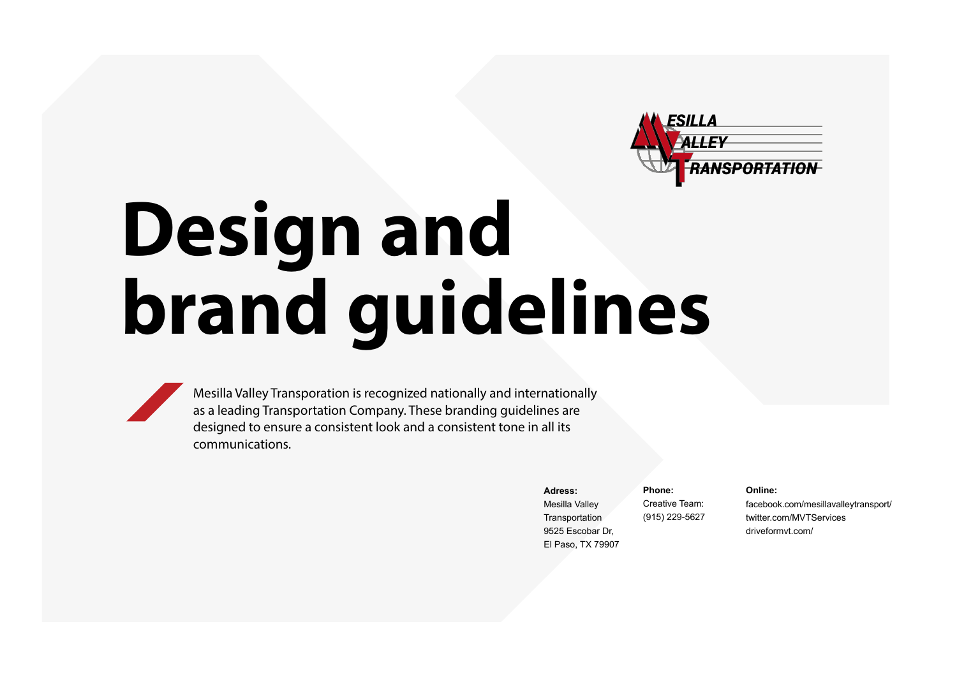

# **Design and brand guidelines**

Mesilla Valley Transporation is recognized nationally and internationally as a leading Transportation Company. These branding guidelines are designed to ensure a consistent look and a consistent tone in all its communications.

**Adress:**

Mesilla Valley **Transportation** 9525 Escobar Dr, El Paso, TX 79907

**Online:**

**Phone:** Creative Team: (915) 229-5627

facebook.com/mesillavalleytransport/ twitter.com/MVTServices driveformvt.com/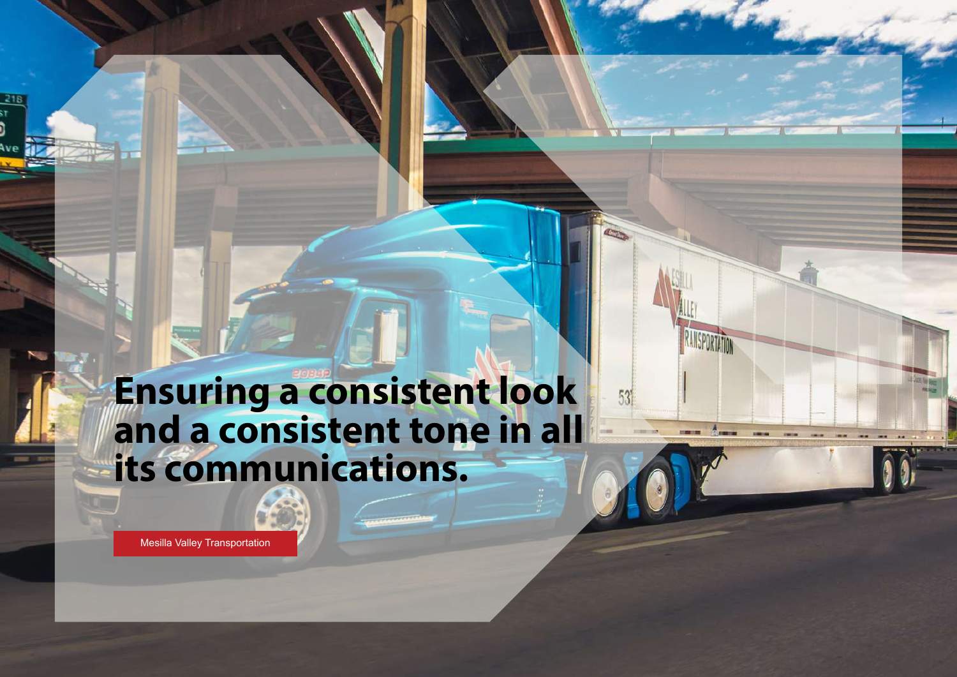### **Ensuring a consistent look and a consistent tone in all its communications.**

 $53'$ 

[Mesilla Valley Transportation](https://www.driveformvt.com/mvt-brand-guidelines/)

 $218$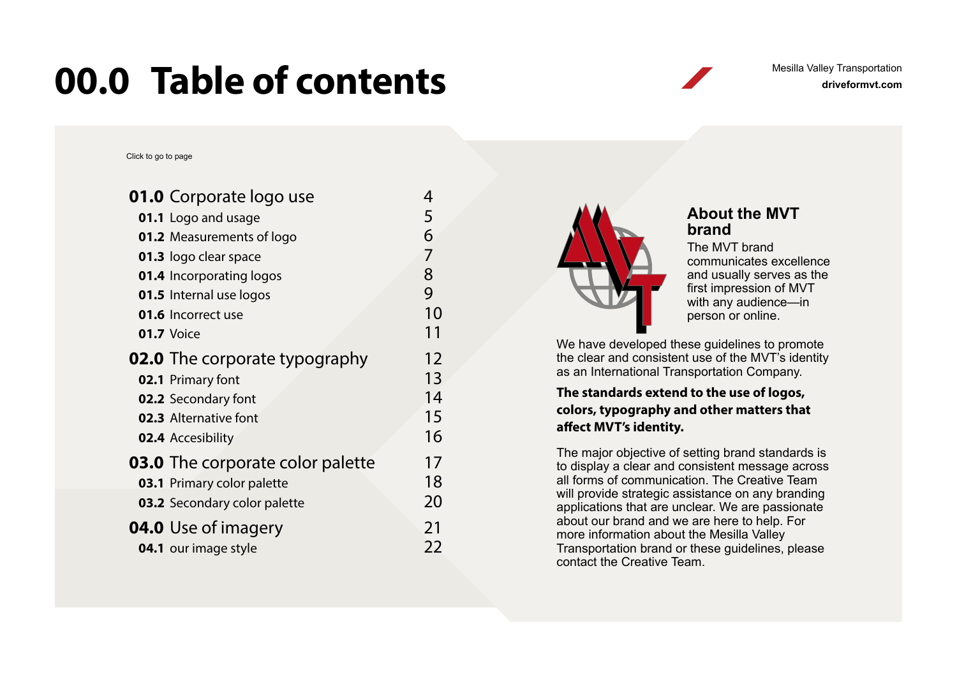### <span id="page-2-0"></span>**00.0 Table of contents** Mesilla Valley Transportation

Mesilla Valley Transportation

Click to go to page

| <b>01.0</b> Corporate logo use          | 4  |
|-----------------------------------------|----|
| 01.1 Logo and usage                     | 5  |
| <b>01.2</b> Measurements of logo        | 6  |
| 01.3 logo clear space                   | 7  |
| <b>01.4</b> Incorporating logos         | 8  |
| <b>01.5</b> Internal use logos          | 9  |
| 01.6 Incorrect use                      | 10 |
| 01.7 Voice                              | 11 |
| <b>02.0</b> The corporate typography    | 12 |
| 02.1 Primary font                       | 13 |
| 02.2 Secondary font                     | 14 |
| <b>02.3</b> Alternative font            | 15 |
| 02.4 Accesibility                       | 16 |
| <b>03.0</b> The corporate color palette | 17 |
| 03.1 Primary color palette              | 18 |
| <b>03.2</b> Secondary color palette     | 20 |
| <b>04.0</b> Use of imagery              | 21 |
| 04.1 our image style                    | 22 |
|                                         |    |



#### **About the MVT brand**

The MVT brand communicates excellence and usually serves as the first impression of MVT with any audience—in person or online.

We have developed these guidelines to promote the clear and consistent use of the MVT's identity as an International Transportation Company.

#### **The standards extend to the use of logos, colors, typography and other matters that affect MVT's identity.**

The major objective of setting brand standards is to display a clear and consistent message across all forms of communication. The Creative Team will provide strategic assistance on any branding applications that are unclear. We are passionate about our brand and we are here to help. For more information about the Mesilla Valley Transportation brand or these guidelines, please contact the Creative Team.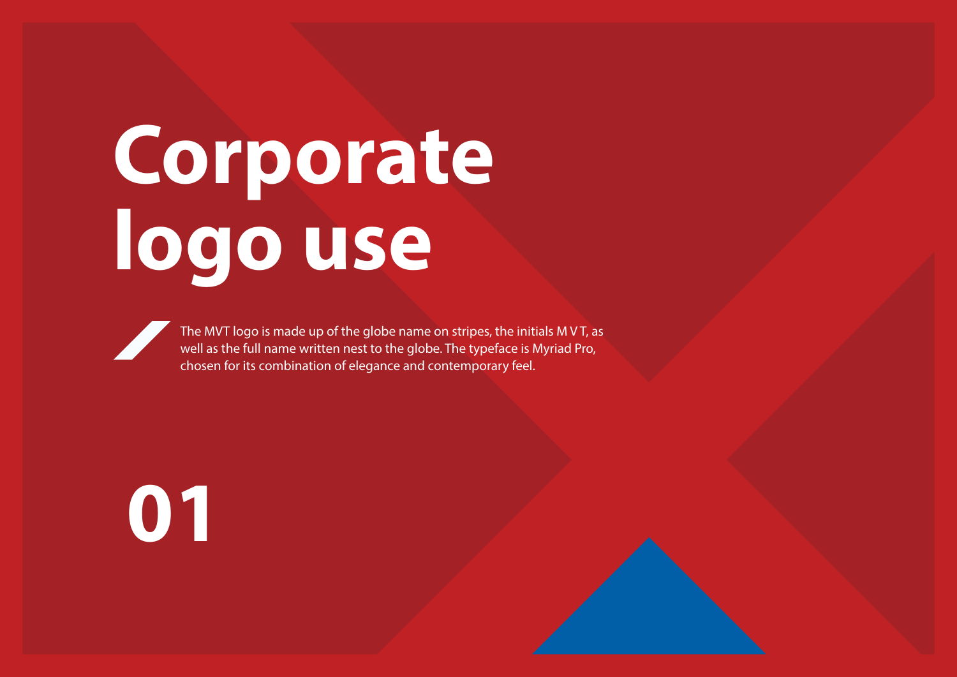# <span id="page-3-0"></span>**Corporate logo use**

The MVT logo is made up of the globe name on stripes, the initials M V T, as well as the full name written nest to the globe. The typeface is Myriad Pro, chosen for its combination of elegance and contemporary feel.

# **01**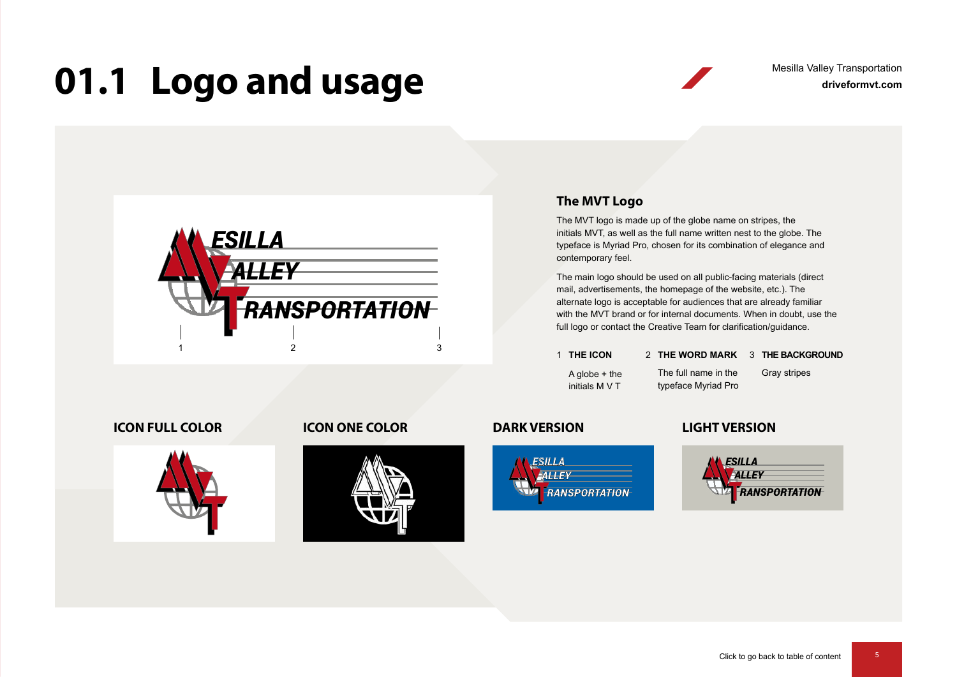### <span id="page-4-0"></span>**01.1 Logo and usage**



#### **The MVT Logo**

The MVT logo is made up of the globe name on stripes, the initials MVT, as well as the full name written nest to the globe. The typeface is Myriad Pro, chosen for its combination of elegance and contemporary feel.

The main logo should be used on all public-facing materials (direct mail, advertisements, the homepage of the website, etc.). The alternate logo is acceptable for audiences that are already familiar with the MVT brand or for internal documents. When in doubt, use the full logo or contact the Creative Team for clarification/guidance.

**1 THE ICON** 

#### 1 THE ICON 2 THE WORD MARK 3 THE BACKGROUND

A globe + the initials M V T

Gray stripes The full name in the typeface Myriad Pro

#### **ICON FULL COLOR ICON ONE COLOR DARK VERSION LIGHT VERSION**







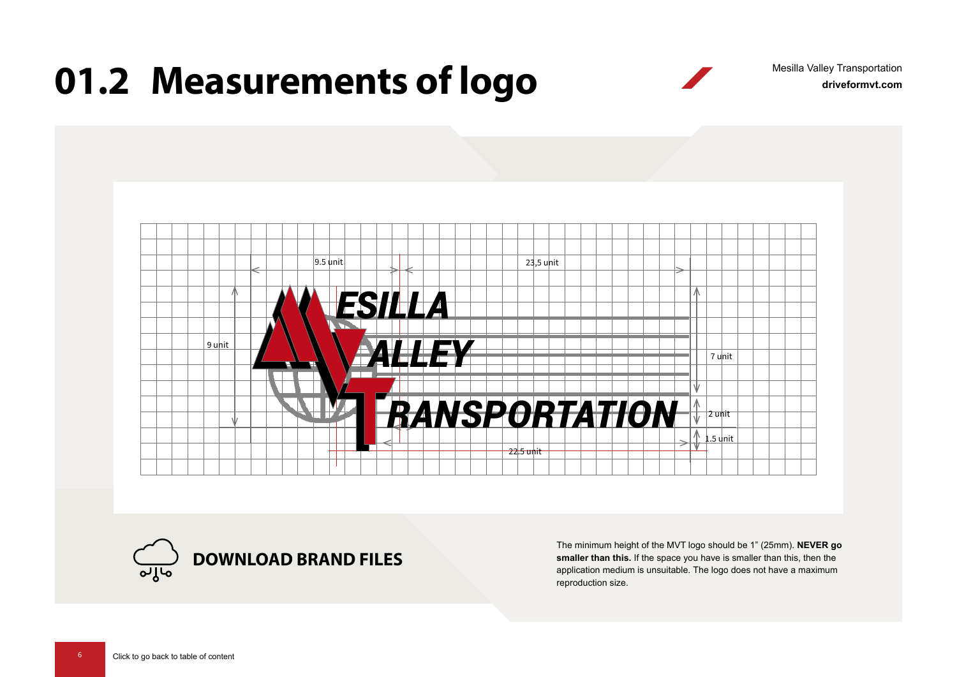## <span id="page-5-0"></span>**01.2 Measurements of logo**

**driveformvt.com** Mesilla Valley Transportation





The minimum height of the MVT logo should be 1" (25mm). **NEVER go smaller than this.** If the space you have is smaller than this, then the application medium is unsuitable. The logo does not have a maximum reproduction size.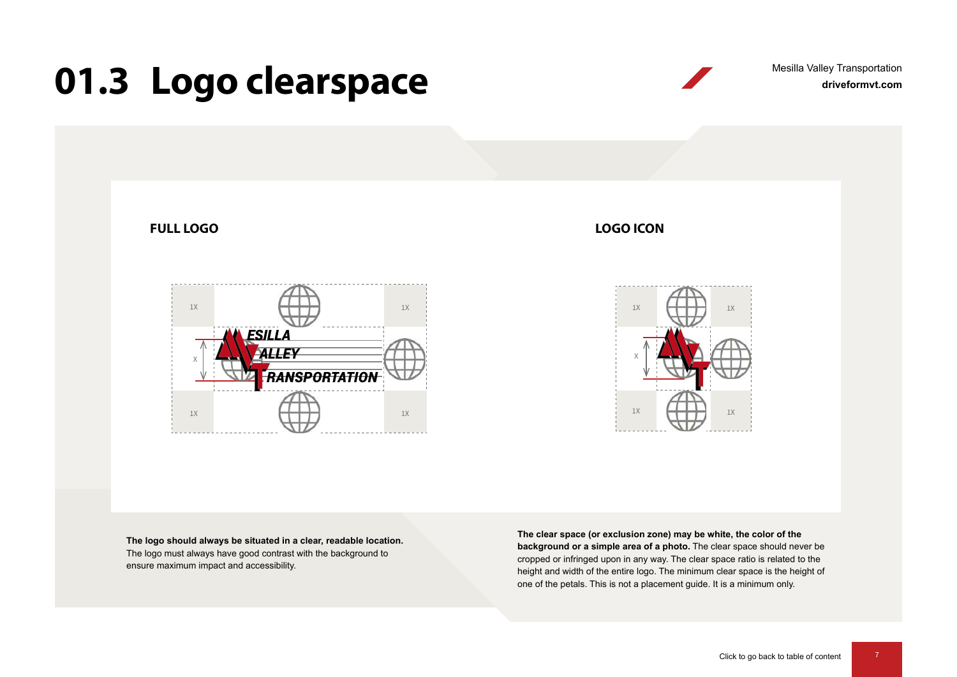### <span id="page-6-0"></span>**01.3 Logo clearspace**



**The logo should always be situated in a clear, readable location.**  The logo must always have good contrast with the background to ensure maximum impact and accessibility.

**The clear space (or exclusion zone) may be white, the color of the background or a simple area of a photo.** The clear space should never be cropped or infringed upon in any way. The clear space ratio is related to the height and width of the entire logo. The minimum clear space is the height of one of the petals. This is not a placement guide. It is a minimum only.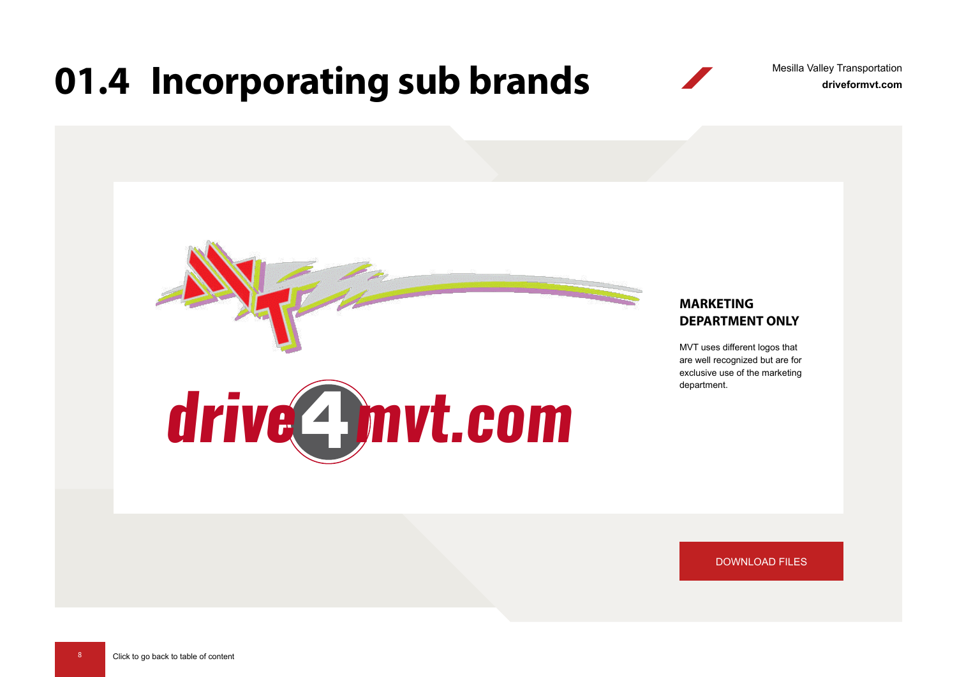### <span id="page-7-0"></span>**01.4 Incorporating sub brands** Mesilla Valley Fransportation

Mesilla Valley Transportation



[DOWNLOAD FILES](https://www.driveformvt.com/mvt-brand-guidelines/#incorporatebrands)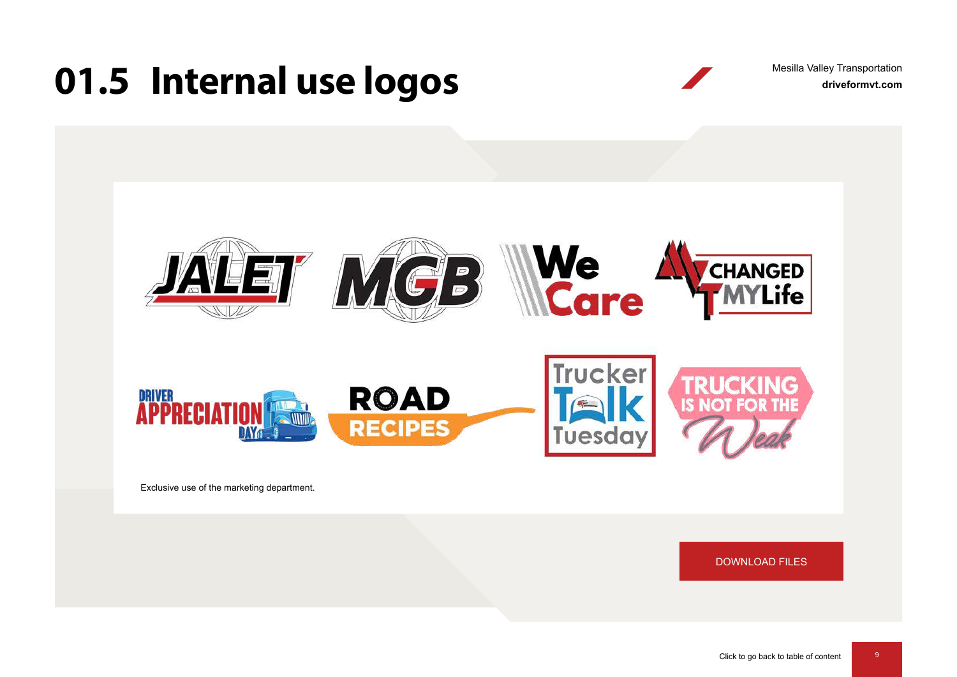### <span id="page-8-0"></span>**01.5 Internal use logos** Mesilla Valley Transportation

Mesilla Valley Transportation



Exclusive use of the marketing department.

[DOWNLOAD FILES](https://www.driveformvt.com/mvt-brand-guidelines/#internallogos)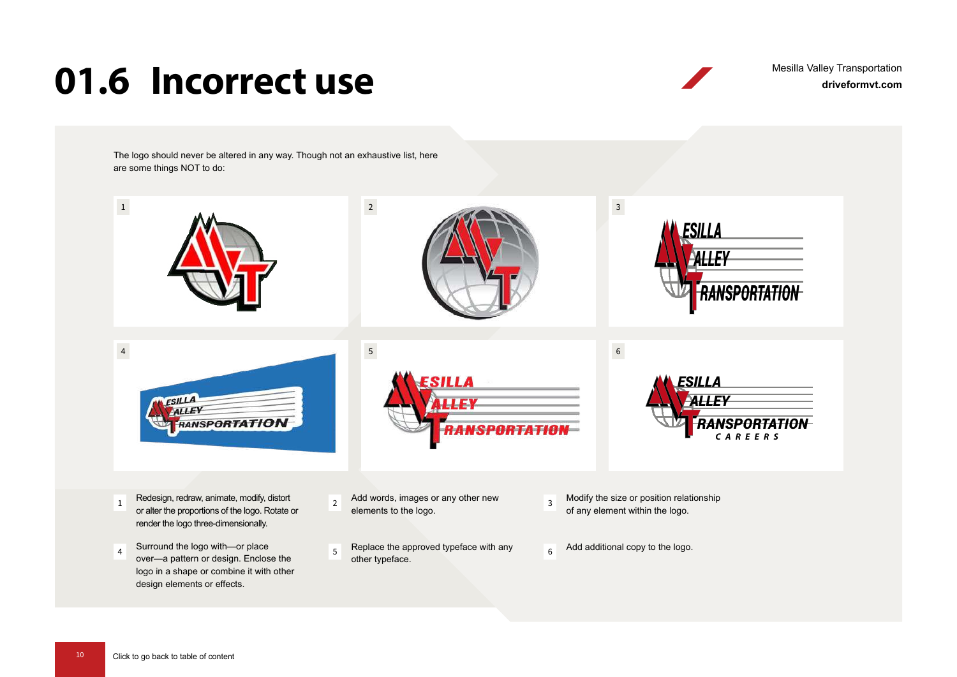### <span id="page-9-0"></span>**01.6 Incorrect use**

**driveformvt.com** Mesilla Valley Transportation

The logo should never be altered in any way. Though not an exhaustive list, here are some things NOT to do:

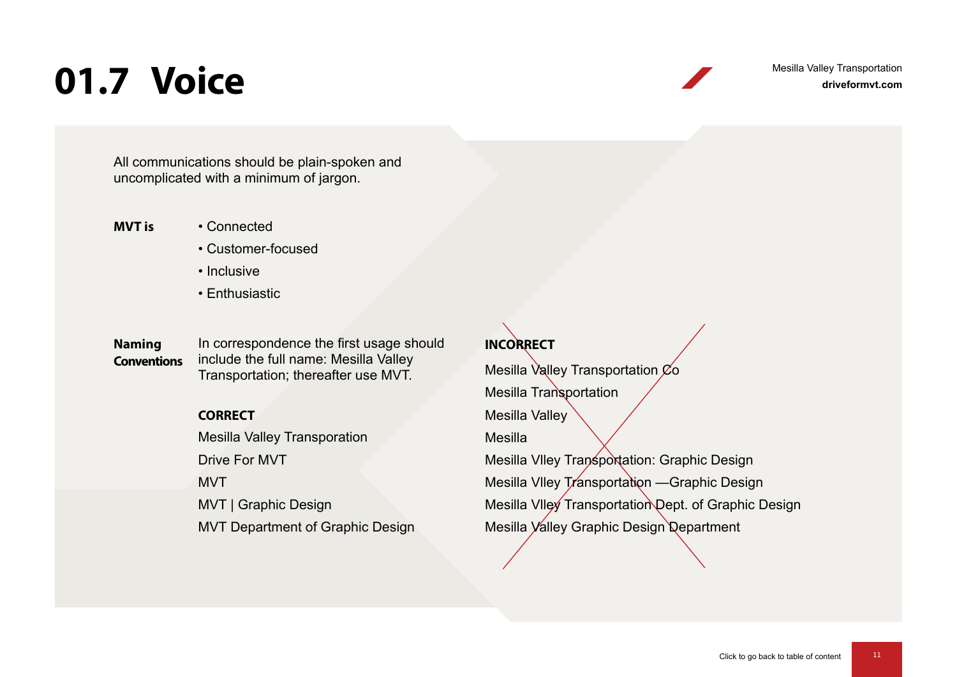### <span id="page-10-0"></span>**01.7 Voice**

**driveformvt.com** Mesilla Valley Transportation

All communications should be plain-spoken and uncomplicated with a minimum of jargon.

- **MVT is** Connected
	- Customer-focused
	- Inclusive
	- Enthusiastic

**Naming Conventions** In correspondence the first usage should include the full name: Mesilla Valley Transportation; thereafter use MVT.

#### **CORRECT**

Mesilla Valley Transporation Drive For MVT MVT MVT | Graphic Design MVT Department of Graphic Design

#### **INCORRECT**

Mesilla Valley Transportation  $\mathfrak{C}$ o Mesilla Transportation Mesilla Valley Mesilla Mesilla VIIey Transportation: Graphic Design Mesilla Vlley Transportation - Graphic Design Mesilla VIIey Transportation Dept. of Graphic Design Mesilla Valley Graphic Design Department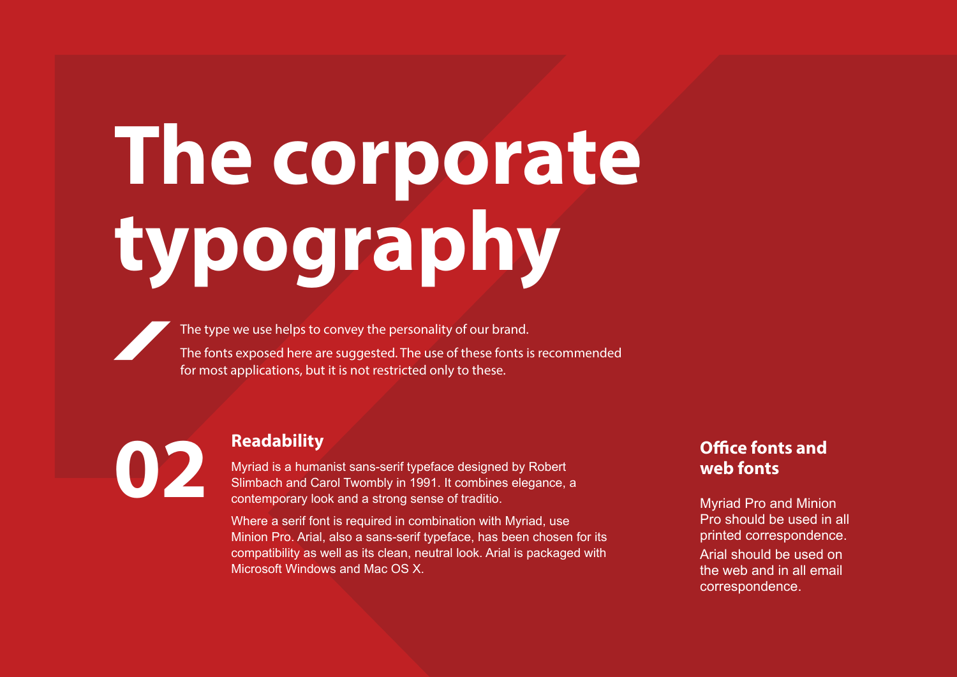# <span id="page-11-0"></span>**The corporate typography**

The type we use helps to convey the personality of our brand. The fonts exposed here are suggested. The use of these fonts is recommended for most applications, but it is not restricted only to these.

**12 Readability**<br> **Myriad is a huma**<br> **Slimbach and Ca** 

Myriad is a humanist sans-serif typeface designed by Robert Slimbach and Carol Twombly in 1991. It combines elegance, a contemporary look and a strong sense of traditio.

Where a serif font is required in combination with Myriad, use Minion Pro. Arial, also a sans-serif typeface, has been chosen for its compatibility as well as its clean, neutral look. Arial is packaged with Microsoft Windows and Mac OS X.

### **Office fonts and web fonts**

Myriad Pro and Minion Pro should be used in all printed correspondence. Arial should be used on the web and in all email correspondence.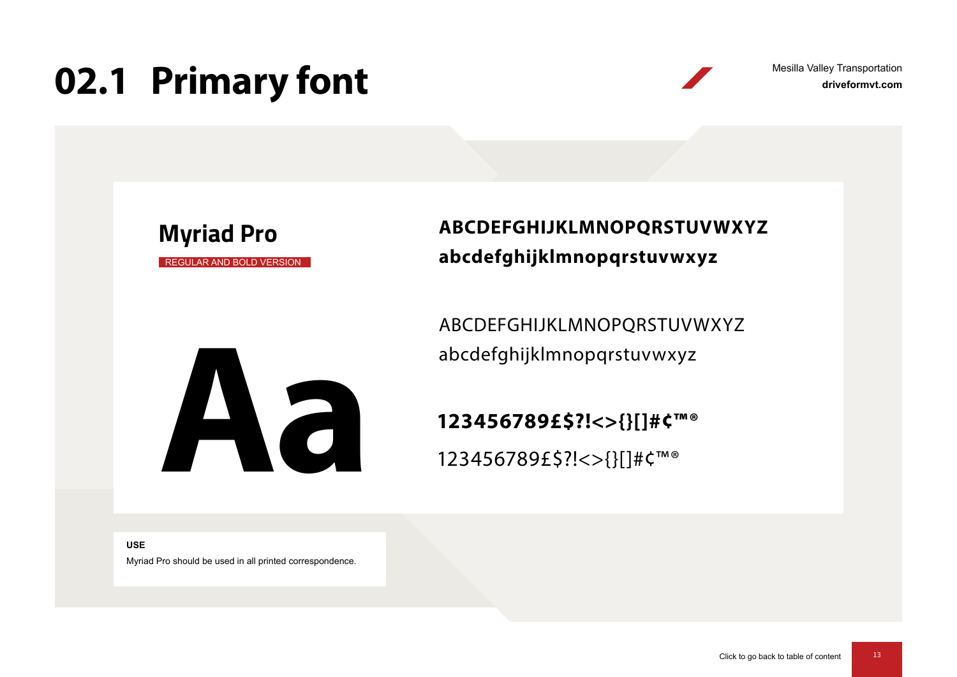## <span id="page-12-0"></span>**02.1 Primary font**

**driveformvt.com** Mesilla Valley Transportation

REGULAR AND BOLD VERSION **Myriad Pro**

**ABCDEFGHIJKLMNOPQRSTUVWXYZ abcdefghijklmnopqrstuvwxyz**

ABCDEFGHIJKLMNOPQRSTUVWXYZ abcdefghijklmnopqrstuvwxyz<br> **123456789£\$?!<>{}[]#¢™®<br>
123456789£\$?!<>{}[]#¢™®<br>
123456789£\$?!<>{}[]#¢™®** 

**123456789£\$?!<>{}[]#¢™®**

123456789£\$?!<>{}[]#¢™®

**USE**

Myriad Pro should be used in all printed correspondence.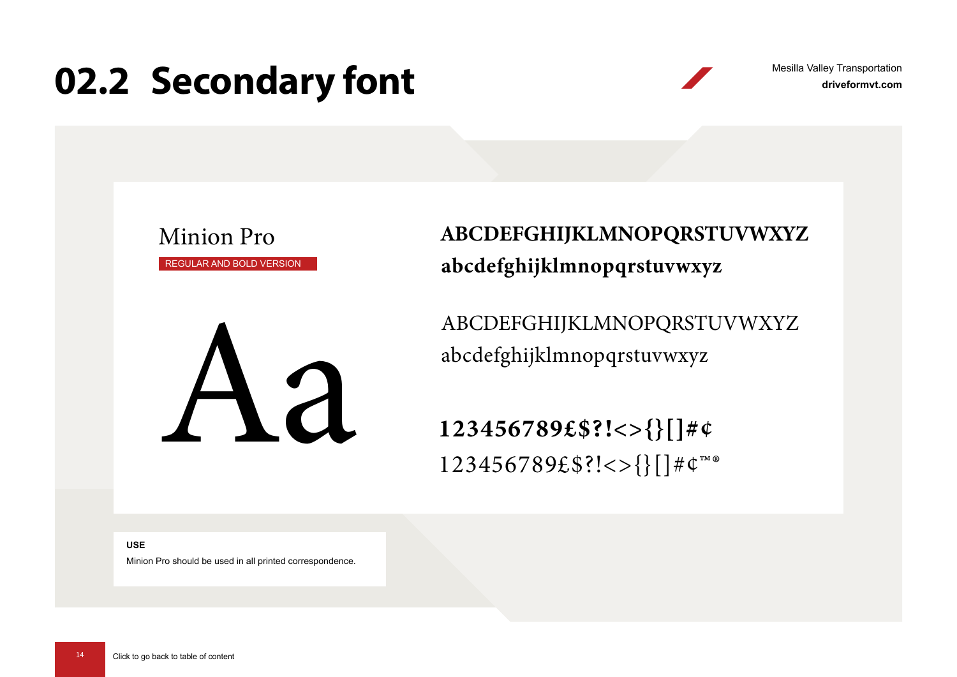### <span id="page-13-0"></span>**02.2 Secondary font**

**driveformvt.com** Mesilla Valley Transportation

Minion Pro REGULAR AND BOLD VERSION



ABCDEFGHIJKLMNOPQRSTUVWXYZ abcdefghijklmnopqrstuvwxyz

ABCDEFGHIJKLMNOPQRSTUVWXYZ

123456789£\$?!<>{}[]#¢ 123456789£\$?!<>{}[]#¢™®

**USE**

Minion Pro should be used in all printed correspondence.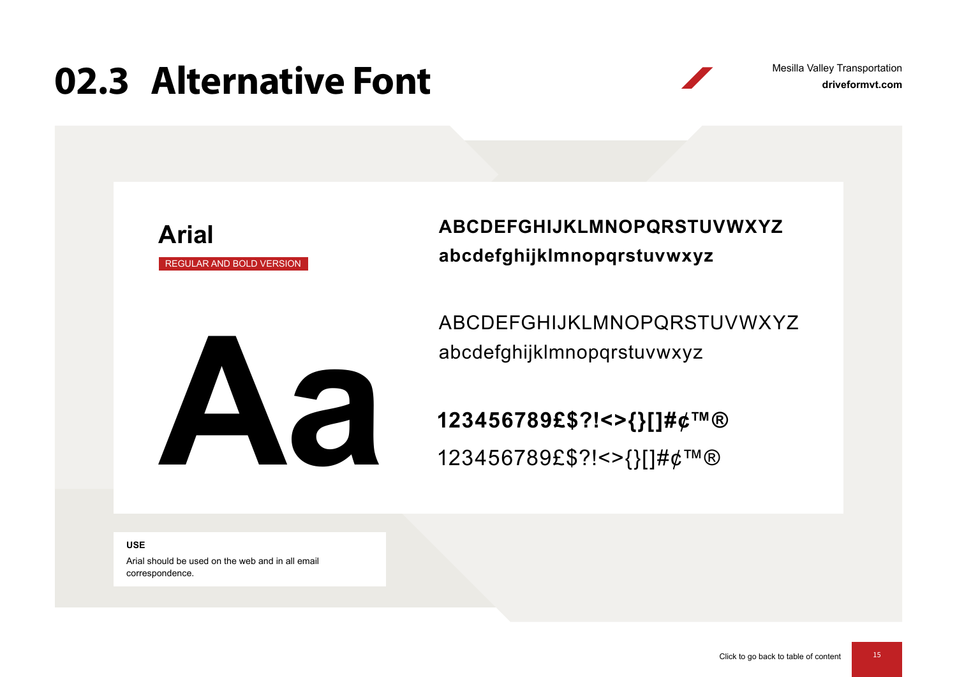### <span id="page-14-0"></span>**02.3 Alternative Font**

REGULAR AND BOLD VERSION

**Arial**

**driveformvt.com** Mesilla Valley Transportation

**ABCDEFGHIJKLMNOPQRSTUVWXYZ abcdefghijklmnopqrstuvwxyz**

ABCDEFGHIJKLMNOPQRSTUVWXYZ

abcdefghijklmnopqrstuvwxyz<br>**123456789£\$?!<>{}[]#¢™<br>123456789f\$?!<>{}[]#¢™ 123456789£\$?!<>{}[]#¢™®** 123456789£\$?!<>{}[]#¢™®

**USE**

Arial should be used on the web and in all email correspondence.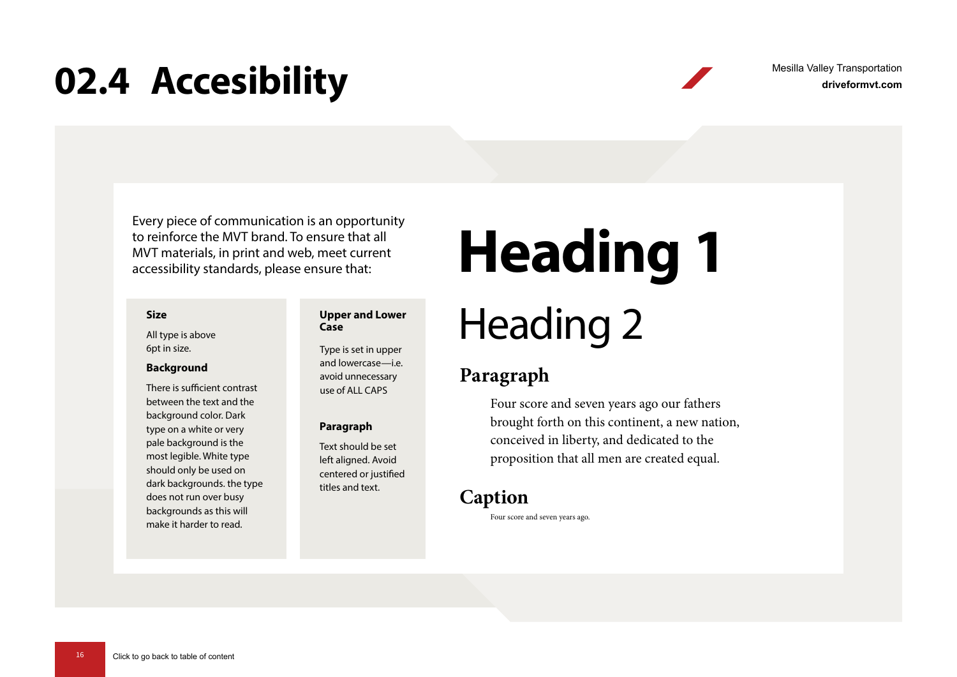### <span id="page-15-0"></span>**02.4 Accesibility**

**driveformvt.com** Mesilla Valley Transportation

Every piece of communication is an opportunity to reinforce the MVT brand. To ensure that all MVT materials, in print and web, meet current accessibility standards, please ensure that:

#### **Size**

All type is above 6pt in size.

#### **Background**

There is sufficient contrast between the text and the background color. Dark type on a white or very pale background is the most legible. White type should only be used on dark backgrounds. the type does not run over busy backgrounds as this will make it harder to read.

#### **Upper and Lower Case**

Type is set in upper and lowercase—i.e. avoid unnecessary use of ALL CAPS

#### **Paragraph**

Text should be set left aligned. Avoid centered or justified titles and text.

## **Heading 1**

## Heading 2

### **Paragraph**

Four score and seven years ago our fathers brought forth on this continent, a new nation, conceived in liberty, and dedicated to the proposition that all men are created equal.

### **Caption**

Four score and seven years ago.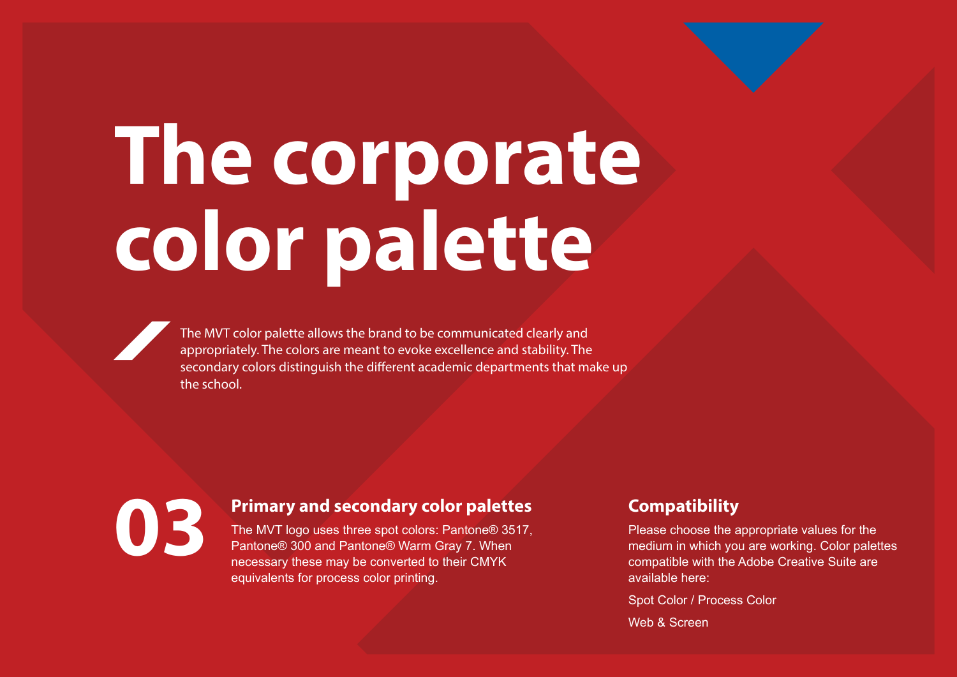# <span id="page-16-0"></span>**The corporate color palette**

The MVT color palette allows the brand to be communicated clearly and appropriately. The colors are meant to evoke excellence and stability. The secondary colors distinguish the different academic departments that make up the school.

**Primary and secondary color palettes**<br>The MVT logo uses three spot colors: Pantone® 3517,<br>Pantone® 300 and Pantone® Warm Gray 7, When The MVT logo uses three spot colors: Pantone® 3517, Pantone® 300 and Pantone® Warm Gray 7. When necessary these may be converted to their CMYK equivalents for process color printing.

### **Compatibility**

Please choose the appropriate values for the medium in which you are working. Color palettes compatible with the Adobe Creative Suite are available here:

Spot Color / Process Color

Web & Screen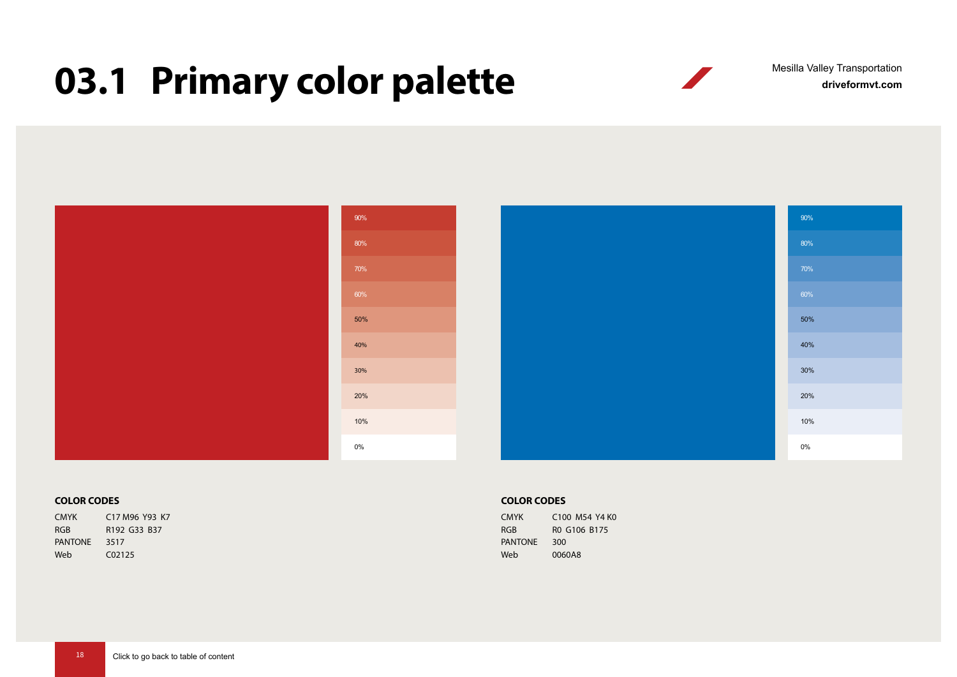## <span id="page-17-0"></span>**03.1 Primary color palette**

**driveformvt.com** Mesilla Valley Transportation

|  | 90%   |  | 90%   |
|--|-------|--|-------|
|  | 80%   |  | 80%   |
|  | 70%   |  | 70%   |
|  | 60%   |  | 60%   |
|  | 50%   |  | 50%   |
|  | 40%   |  | 40%   |
|  | 30%   |  | 30%   |
|  | 20%   |  | 20%   |
|  | 10%   |  | 10%   |
|  | $0\%$ |  | $0\%$ |

#### **COLOR CODES**

CMYK C17 M96 Y93 K7 RGB R192 G33 B37 PANTONE 3517 Web C02125

#### **COLOR CODES**

| <b>CMYK</b>    | C100 M54 Y4 K0 |
|----------------|----------------|
| <b>RGB</b>     | RO G106 B175   |
| <b>PANTONE</b> | 300            |
| Web            | 0060A8         |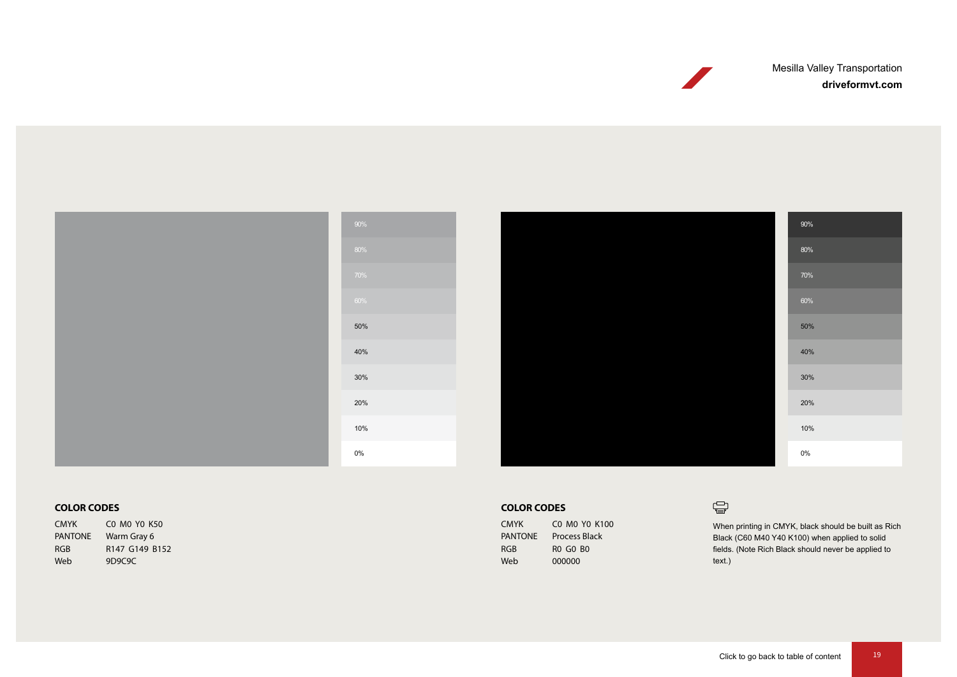Mesilla Valley Transportation

**driveformvt.com**





#### **COLOR CODES**

CMYK C0 M0 Y0 K50 PANTONE Warm Gray 6 RGB R147 G149 B152 Web 9D9C9C

#### **COLOR CODES**

| <b>CMYK</b>    | CO MO YO K100        |
|----------------|----------------------|
| <b>PANTONE</b> | <b>Process Black</b> |
| RGB            | <b>RO GO BO</b>      |
| Web            | 000000               |

#### $\bigoplus$

When printing in CMYK, black should be built as Rich Black (C60 M40 Y40 K100) when applied to solid fields. (Note Rich Black should never be applied to text.)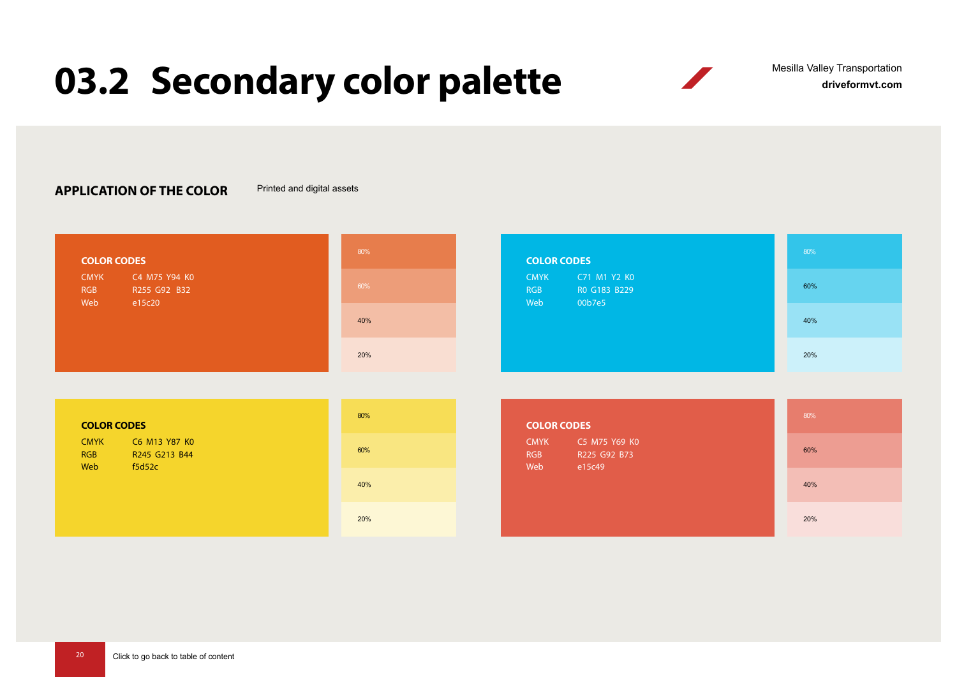## <span id="page-19-0"></span>**03.2 Secondary color palette**

**driveformvt.com** Mesilla Valley Transportation

 $\sqrt{2}$ 

#### **APPLICATION OF THE COLOR** Printed and digital assets

| <b>COLOR CODES</b>                                                          | 80% | <b>COLOR CODES</b>                                                         | 80% |
|-----------------------------------------------------------------------------|-----|----------------------------------------------------------------------------|-----|
| C4 M75 Y94 K0<br><b>CMYK</b><br><b>RGB</b><br>R255 G92 B32<br>Web<br>e15c20 | 60% | C71 M1 Y2 K0<br><b>CMYK</b><br>RO G183 B229<br><b>RGB</b><br>00b7e5<br>Web | 60% |
|                                                                             | 40% |                                                                            | 40% |
|                                                                             | 20% |                                                                            | 20% |

| <b>COLOR CODES</b>                                                           | 80% | <b>COLOR CODES</b>                                                          | 80% |
|------------------------------------------------------------------------------|-----|-----------------------------------------------------------------------------|-----|
| C6 M13 Y87 K0<br><b>CMYK</b><br><b>RGB</b><br>R245 G213 B44<br>Web<br>f5d52c | 60% | C5 M75 Y69 K0<br><b>CMYK</b><br>R225 G92 B73<br><b>RGB</b><br>Web<br>e15c49 | 60% |
|                                                                              | 40% |                                                                             | 40% |
|                                                                              | 20% |                                                                             | 20% |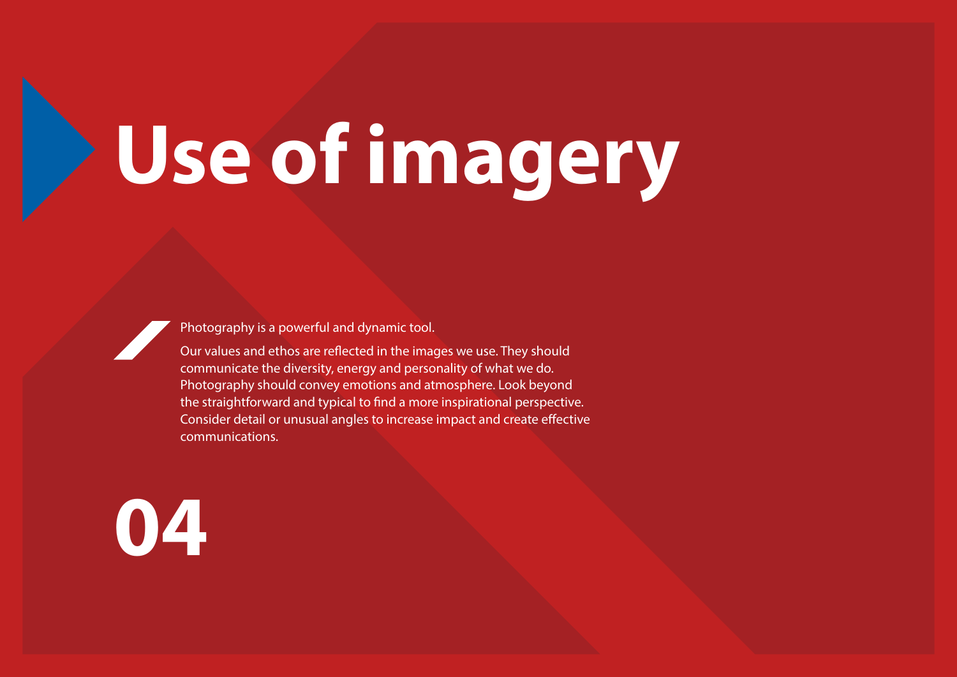# <span id="page-20-0"></span>**Use of imagery**

Photography is a powerful and dynamic tool.

Our values and ethos are reflected in the images we use. They should communicate the diversity, energy and personality of what we do. Photography should convey emotions and atmosphere. Look beyond the straightforward and typical to find a more inspirational perspective. Consider detail or unusual angles to increase impact and create effective communications.

**04**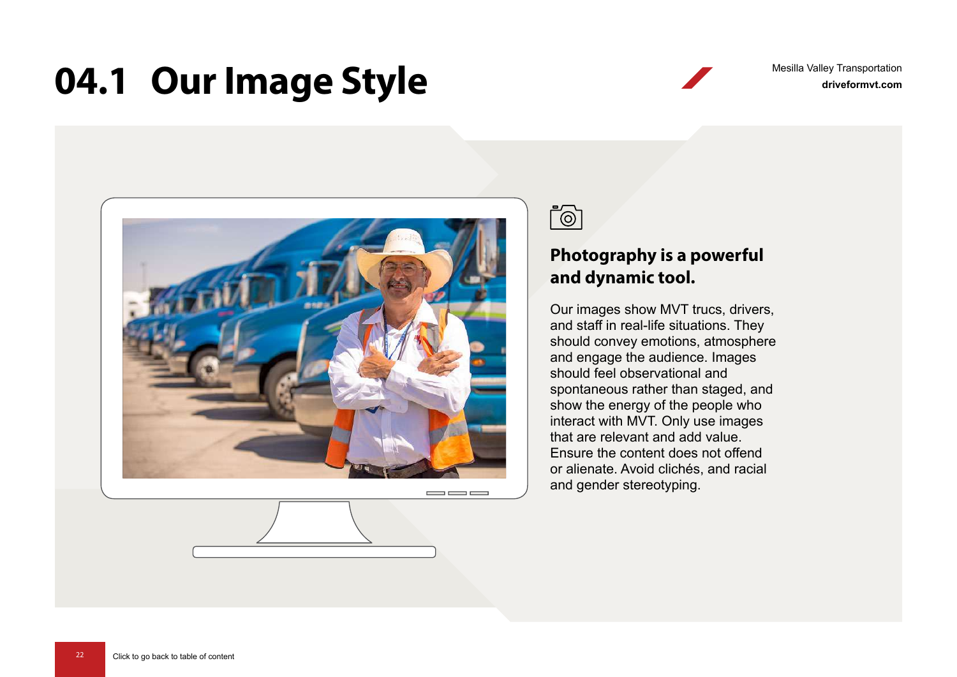### <span id="page-21-0"></span>**04.1 Our Image Style**

**driveformvt.com** Mesilla Valley Transportation



 $\equiv$   $\equiv$ 



### **Photography is a powerful and dynamic tool.**

Our images show MVT trucs, drivers, and staff in real-life situations. They should convey emotions, atmosphere and engage the audience. Images should feel observational and spontaneous rather than staged, and show the energy of the people who interact with MVT. Only use images that are relevant and add value. Ensure the content does not offend or alienate. Avoid clichés, and racial and gender stereotyping.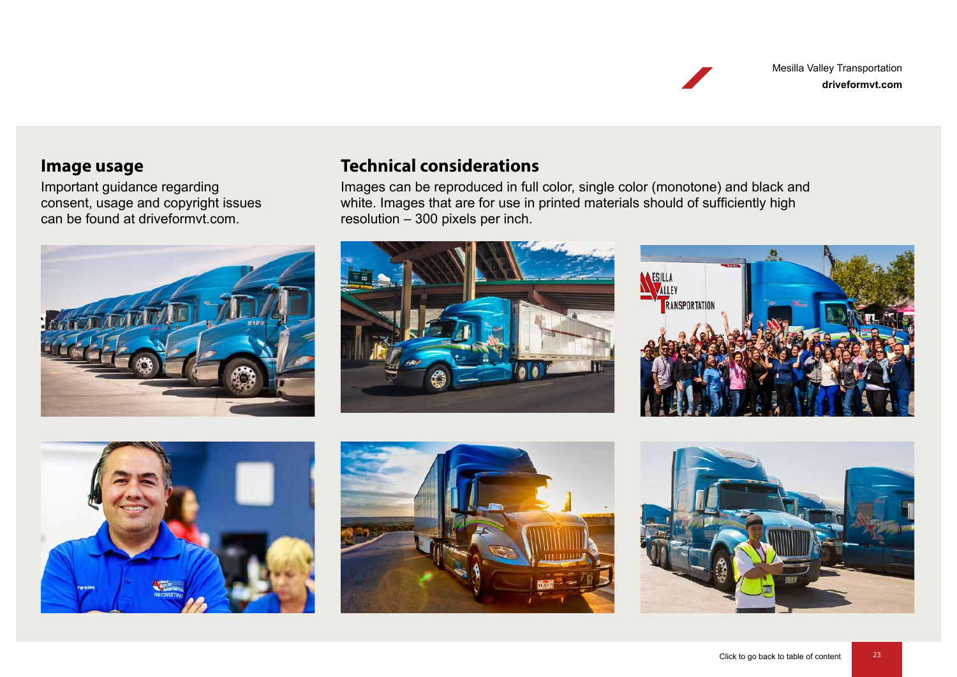**driveformvt.com** Mesilla Valley Transportation

#### **Image usage**

Important guidance regarding consent, usage and copyright issues can be found at driveformvt.com.



### **Technical considerations**

Images can be reproduced in full color, single color (monotone) and black and white. Images that are for use in printed materials should of sufficiently high resolution – 300 pixels per inch.